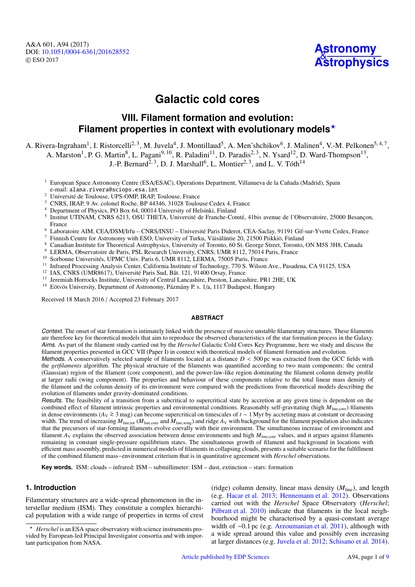

# **Galactic cold cores**

## **VIII. Filament formation and evolution: Filament properties in context with evolutionary models**?

A. Rivera-Ingraham<sup>1</sup>, I. Ristorcelli<sup>2, 3</sup>, M. Juvela<sup>4</sup>, J. Montillaud<sup>5</sup>, A. Men'shchikov<sup>6</sup>, J. Malinen<sup>4</sup>, V.-M. Pelkonen<sup>5, 4, 7</sup>,

A. Marston<sup>1</sup>, P. G. Martin<sup>8</sup>, L. Pagani<sup>9, 10</sup>, R. Paladini<sup>11</sup>, D. Paradis<sup>2, 3</sup>, N. Ysard<sup>12</sup>, D. Ward-Thompson<sup>13</sup>,

J.-P. Bernard<sup>2, 3</sup>, D. J. Marshall<sup>6</sup>, L. Montier<sup>2, 3</sup>, and L. V. Tóth<sup>14</sup>

- <sup>1</sup> European Space Astronomy Centre (ESA/ESAC), Operations Department, Villanueva de la Cañada (Madrid), Spain e-mail: alana.rivera@sciops.esa.int
- <sup>2</sup> Université de Toulouse, UPS-OMP, IRAP, Toulouse, France
- <sup>3</sup> CNRS, IRAP, 9 Av. colonel Roche, BP 44346, 31028 Toulouse Cedex 4, France
- <sup>4</sup> Department of Physics, PO Box 64, 00014 University of Helsinki, Finland
- 5 Institut UTINAM, CNRS 6213, OSU THETA, Université de Franche-Comté, 41bis avenue de l'Observatoire, 25000 Besançon, France
- <sup>6</sup> Laboratoire AIM, CEA/DSM/Irfu CNRS/INSU Université Paris Diderot, CEA-Saclay, 91191 Gif-sur-Yvette Cedex, France
- <sup>7</sup> Finnish Centre for Astronomy with ESO, University of Turku, Väisäläntie 20, 21500 Piikkiö, Finland
- <sup>8</sup> Canadian Institute for Theoretical Astrophysics, University of Toronto, 60 St. George Street, Toronto, ON M5S 3H8, Canada
- <sup>9</sup> LERMA, Observatoire de Paris, PSL Research University, CNRS, UMR 8112, 75014 Paris, France
- Sorbonne Universités, UPMC Univ. Paris 6, UMR 8112, LERMA, 75005 Paris, France
- <sup>11</sup> Infrared Processing Analysis Center, California Institute of Technology, 770 S. Wilson Ave., Pasadena, CA 91125, USA
- <sup>12</sup> IAS, CNRS (UMR8617), Université Paris Sud, Bât. 121, 91400 Orsay, France
- <sup>13</sup> Jeremiah Horrocks Institute, University of Central Lancashire, Preston, Lancashire, PR1 2HE, UK
- <sup>14</sup> Eötvös University, Department of Astronomy, Pázmány P. s. 1/a, 1117 Budapest, Hungary

Received 18 March 2016 / Accepted 23 February 2017

## **ABSTRACT**

Context. The onset of star formation is intimately linked with the presence of massive unstable filamentary structures. These filaments are therefore key for theoretical models that aim to reproduce the observed characteristics of the star formation process in the Galaxy. Aims. As part of the filament study carried out by the *Herschel* Galactic Cold Cores Key Programme, here we study and discuss the filament properties presented in GCC VII (Paper I) in context with theoretical models of filament formation and evolution.

Methods. A conservatively selected sample of filaments located at a distance *<sup>D</sup>* < 500 pc was extracted from the GCC fields with the *getfilaments* algorithm. The physical structure of the filaments was quantified according to two main components: the central (Gaussian) region of the filament (core component), and the power-law-like region dominating the filament column density profile at larger radii (wing component). The properties and behaviour of these components relative to the total linear mass density of the filament and the column density of its environment were compared with the predictions from theoretical models describing the evolution of filaments under gravity-dominated conditions.

Results. The feasibility of a transition from a subcritical to supercritical state by accretion at any given time is dependent on the combined effect of filament intrinsic properties and environmental conditions. Reasonably self-gravitating (high  $M_{\text{line,core}}$ ) filaments in dense environments (*A*<sub>V</sub> ≥ 3 mag) can become supercritical on timescales of *t* ∼ 1 Myr by accreting mass at constant or decreasing<br>width. The trend of increasing *M* and *M* and *M* and ridge *A*, with beckground fo width. The trend of increasing  $M_{\text{line,tot}}$  ( $M_{\text{line,core}}$  and  $M_{\text{line,wing}}$ ) and ridge  $A_V$  with background for the filament population also indicates that the precursors of star-forming filaments evolve coevally with their environment. The simultaneous increase of environment and filament  $A_V$  explains the observed association between dense environments and high  $M_{\text{line,core}}$  values, and it argues against filaments remaining in constant single-pressure equilibrium states. The simultaneous growth of filament and background in locations with efficient mass assembly, predicted in numerical models of filaments in collapsing clouds, presents a suitable scenario for the fulfillment of the combined filament mass−environment criterium that is in quantitative agreement with *Herschel* observations.

**Key words.** ISM: clouds – infrared: ISM – submillimeter: ISM – dust, extinction – stars: formation

## **1. Introduction**

Filamentary structures are a wide-spread phenomenon in the interstellar medium (ISM). They constitute a complex hierarchical population with a wide range of properties in terms of crest

(ridge) column density, linear mass density (*M*line), and length (e.g. [Hacar et al.](#page-8-0) [2013;](#page-8-0) [Hennemann et al.](#page-8-1) [2012\)](#page-8-1). Observations carried out with the *Herschel* Space Observatory (*Herschel*; [Pilbratt et al.](#page-8-2) [2010\)](#page-8-2) indicate that filaments in the local neighbourhood might be characterised by a quasi-constant average width of ∼0.1 pc (e.g. [Arzoumanian et al.](#page-8-3) [2011\)](#page-8-3), although with a wide spread around this value and possibly even increasing at larger distances (e.g. [Juvela et al.](#page-8-4) [2012;](#page-8-4) [Schisano et al.](#page-8-5) [2014\)](#page-8-5).

<sup>?</sup> *Herschel* is an ESA space observatory with science instruments provided by European-led Principal Investigator consortia and with important participation from NASA.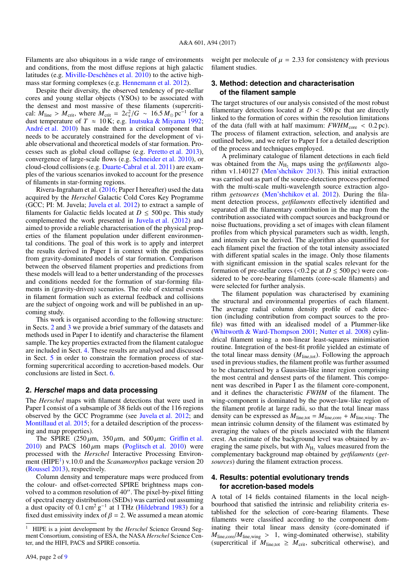Filaments are also ubiquitous in a wide range of environments and conditions, from the most diffuse regions at high galactic latitudes (e.g. [Miville-Deschênes et al.](#page-8-7) [2010\)](#page-8-7) to the active highmass star forming complexes (e.g. [Hennemann et al.](#page-8-1) [2012\)](#page-8-1).

Despite their diversity, the observed tendency of pre-stellar cores and young stellar objects (YSOs) to be associated with the densest and most massive of these filaments (supercritical:  $M_{\text{line}} > M_{\text{crit}}$ , where  $M_{\text{crit}} = 2c_s^2/G \sim 16.5 M_\odot \text{pc}^{-1}$  for a dust temperature of  $T \approx 10 \text{ K}$ ; e.g. Inutsuka & Miyama 1992; dust temperature of  $T \approx 10$  K; e.g. [Inutsuka & Miyama](#page-8-8) [1992;](#page-8-8) [André et al.](#page-8-9) [2010\)](#page-8-9) has made them a critical component that needs to be accurately constrained for the development of viable observational and theoretical models of star formation. Processes such as global cloud collapse (e.g. [Peretto et al.](#page-8-10) [2013\)](#page-8-10), convergence of large-scale flows (e.g. [Schneider et al.](#page-8-11) [2010\)](#page-8-11), or cloud-cloud collisions (e.g. [Duarte-Cabral et al.](#page-8-12) [2011\)](#page-8-12) are examples of the various scenarios invoked to account for the presence of filaments in star-forming regions.

Rivera-Ingraham et al. [\(2016;](#page-8-13) Paper I hereafter) used the data acquired by the *Herschel* Galactic Cold Cores Key Programme (GCC; PI: M. Juvela; [Juvela et al.](#page-8-4) [2012\)](#page-8-4) to extract a sample of filaments for Galactic fields located at  $D \leq 500$  pc. This study complemented the work presented in [Juvela et al.](#page-8-4) [\(2012\)](#page-8-4) and aimed to provide a reliable characterisation of the physical properties of the filament population under different environmental conditions. The goal of this work is to apply and interpret the results derived in Paper I in context with the predictions from gravity-dominated models of star formation. Comparison between the observed filament properties and predictions from these models will lead to a better understanding of the processes and conditions needed for the formation of star-forming filaments in (gravity-driven) scenarios. The role of external events in filament formation such as external feedback and collisions are the subject of ongoing work and will be published in an upcoming study.

This work is organised according to the following structure: in Sects. [2](#page-1-0) and [3](#page-1-1) we provide a brief summary of the datasets and methods used in Paper I to identify and characterise the filament sample. The key properties extracted from the filament catalogue are included in Sect. [4.](#page-1-2) These results are analysed and discussed in Sect. [5](#page-2-0) in order to constrain the formation process of starforming supercritical according to accretion-based models. Our conclusions are listed in Sect. [6.](#page-7-0)

#### <span id="page-1-0"></span>**2. Herschel maps and data processing**

The *Herschel* maps with filament detections that were used in Paper I consist of a subsample of 38 fields out of the 116 regions observed by the GCC Programme (see [Juvela et al.](#page-8-4) [2012;](#page-8-4) and [Montillaud et al.](#page-8-14) [2015;](#page-8-14) for a detailed description of the processing and map properties).

The SPIRE (250  $\mu$ m, 350  $\mu$ m, and 500  $\mu$ m; Griffi[n et al.](#page-8-15) [2010\)](#page-8-16) and PACS  $160 \mu m$  maps [\(Poglitsch et al.](#page-8-16) 2010) were processed with the *Herschel* Interactive Processing Environ-ment (HIPE<sup>[1](#page-1-3)</sup>) v.10.0 and the *Scanamorphos* package version 20 [\(Roussel](#page-8-17) [2013\)](#page-8-17), respectively.

Column density and temperature maps were produced from the colour- and offset-corrected SPIRE brightness maps convolved to a common resolution of 40". The pixel-by-pixel fitting of spectral energy distributions (SEDs) was carried out assuming a dust opacity of 0.1 cm<sup>2</sup> g<sup>-1</sup> at 1 THz [\(Hildebrand](#page-8-18) [1983\)](#page-8-18) for a fixed dust emissivity index of  $\beta = 2$ . We assumed a mean atomic fixed dust emissivity index of  $\beta = 2$ . We assumed a mean atomic weight per molecule of  $\mu = 2.33$  for consistency with previous filament studies.

## <span id="page-1-1"></span>**3. Method: detection and characterisation of the filament sample**

The target structures of our analysis consisted of the most robust filamentary detections located at  $D < 500$  pc that are directly linked to the formation of cores within the resolution limitations of the data (full with at half maximum:  $FWHM_{\text{core}} < 0.2 \text{ pc}$ ). The process of filament extraction, selection, and analysis are outlined below, and we refer to Paper I for a detailed description of the process and techniques employed.

A preliminary catalogue of filament detections in each field was obtained from the  $N_{\text{H}_2}$  maps using the *getfilaments* algorithm v1.140127 [\(Men'shchikov](#page-8-19) [2013\)](#page-8-19). This initial extraction was carried out as part of the source-detection process performed with the multi-scale multi-wavelength source extraction algorithm *getsources* [\(Men'shchikov et al.](#page-8-20) [2012\)](#page-8-20). During the filament detection process, *getfilaments* effectively identified and separated all the filamentary contribution in the map from the contribution associated with compact sources and background or noise fluctuations, providing a set of images with clean filament profiles from which physical parameters such as width, length, and intensity can be derived. The algorithm also quantified for each filament pixel the fraction of the total intensity associated with different spatial scales in the image. Only those filaments with significant emission in the spatial scales relevant for the formation of pre-stellar cores (<0.2 pc at  $D \le 500$  pc) were considered to be core-bearing filaments (core-scale filaments) and were selected for further analysis.

The filament population was characterised by examining the structural and environmental properties of each filament. The average radial column density profile of each detection (including contribution from compact sources to the profile) was fitted with an idealised model of a Plummer-like [\(Whitworth & Ward-Thompson](#page-8-21) [2001;](#page-8-21) [Nutter et al.](#page-8-22) [2008\)](#page-8-22) cylindrical filament using a non-linear least-squares minimisation routine. Integration of the best-fit profile yielded an estimate of the total linear mass density  $(M<sub>line, tot</sub>)$ . Following the approach used in previous studies, the filament profile was further assumed to be characterised by a Gaussian-like inner region comprising the most central and densest parts of the filament. This component was described in Paper I as the filament core-component, and it defines the characteristic *FWHM* of the filament. The wing-component is dominated by the power-law-like region of the filament profile at large radii, so that the total linear mass density can be expressed as  $M_{\text{line,tot}} = M_{\text{line.core}} + M_{\text{line,wing}}$ . The mean intrinsic column density of the filament was estimated by averaging the values of the pixels associated with the filament crest. An estimate of the background level was obtained by averaging the same pixels, but with  $N_{\rm H_2}$  values measured from the complementary background map obtained by *getfilaments* (*getsources*) during the filament extraction process.

## <span id="page-1-2"></span>**4. Results: potential evolutionary trends for accretion-based models**

A total of 14 fields contained filaments in the local neighbourhood that satisfied the intrinsic and reliability criteria established for the selection of core-bearing filaments. These filaments were classified according to the component dominating their total linear mass density (core-dominated if  $M_{line,core}/M_{line,wing} > 1$ , wing-dominated otherwise), stability (supercritical if  $M_{\text{line, tot}} \geq M_{\text{crit}}$ , subcritical otherwise), and

<span id="page-1-3"></span><sup>1</sup> HIPE is a joint development by the *Herschel* Science Ground Segment Consortium, consisting of ESA, the NASA *Herschel* Science Center, and the HIFI, PACS and SPIRE consortia.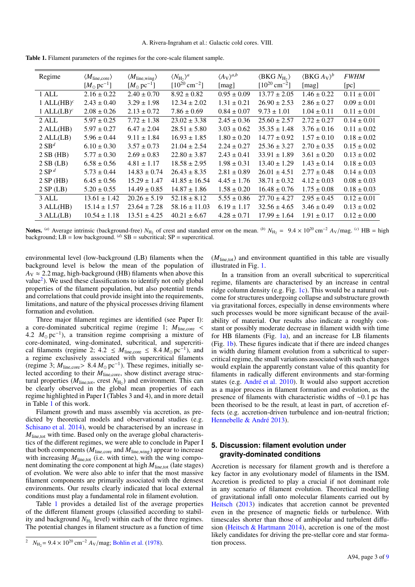<span id="page-2-2"></span>

| Regime         | $\langle M_{\text{line,core}} \rangle$ | $\langle M_{\text{line}, \text{wing}} \rangle$ | $\langle N_{\rm H} \rangle^a$ | $\langle A_V \rangle^{a,b}$ | $\langle BKG N_H \rangle$     | $\langle BKG\, A_V \rangle^b$ | <b>FWHM</b>     |
|----------------|----------------------------------------|------------------------------------------------|-------------------------------|-----------------------------|-------------------------------|-------------------------------|-----------------|
|                | $[M_{\odot} \,\mathrm{pc}^{-1}]$       | $[M_{\odot} \,\mathrm{pc}^{-1}]$               | $[10^{20}$ cm <sup>-2</sup> ] | [mag]                       | $[10^{20}$ cm <sup>-2</sup> ] | [mag]                         | [pc]            |
| 1 ALL          | $2.16 \pm 0.22$                        | $2.40 \pm 0.70$                                | $8.92 \pm 0.82$               | $0.95 \pm 0.09$             | $13.77 \pm 2.05$              | $1.46 \pm 0.22$               | $0.11 \pm 0.01$ |
| 1 ALL $(HB)^c$ | $2.43 \pm 0.40$                        | $3.29 \pm 1.98$                                | $12.34 \pm 2.02$              | $1.31 \pm 0.21$             | $26.90 \pm 2.53$              | $2.86 \pm 0.27$               | $0.09 \pm 0.01$ |
| 1 ALL $(LB)^c$ | $2.08 \pm 0.26$                        | $2.13 \pm 0.72$                                | $7.86 \pm 0.69$               | $0.84 \pm 0.07$             | $9.73 \pm 1.01$               | $1.04 \pm 0.11$               | $0.11 \pm 0.01$ |
| 2 ALL          | $5.97 \pm 0.25$                        | $7.72 \pm 1.38$                                | $23.02 \pm 3.38$              | $2.45 \pm 0.36$             | $25.60 \pm 2.57$              | $2.72 \pm 0.27$               | $0.14 \pm 0.01$ |
| $2$ ALL(HB)    | $5.97 \pm 0.27$                        | $6.47 \pm 2.04$                                | $28.51 \pm 5.80$              | $3.03 \pm 0.62$             | $35.35 \pm 1.48$              | $3.76 \pm 0.16$               | $0.11 \pm 0.02$ |
| $2$ ALL $(LB)$ | $5.96 \pm 0.44$                        | $9.11 \pm 1.84$                                | $16.93 \pm 1.85$              | $1.80 \pm 0.20$             | $14.77 \pm 0.92$              | $1.57 \pm 0.10$               | $0.18 \pm 0.02$ |
| $2 S B^d$      | $6.10 \pm 0.30$                        | $3.57 \pm 0.73$                                | $21.04 \pm 2.54$              | $2.24 \pm 0.27$             | $25.36 \pm 3.27$              | $2.70 \pm 0.35$               | $0.15 \pm 0.02$ |
| 2SB(HB)        | $5.77 \pm 0.30$                        | $2.69 \pm 0.83$                                | $22.80 \pm 3.87$              | $2.43 \pm 0.41$             | $33.91 \pm 1.89$              | $3.61 \pm 0.20$               | $0.13 \pm 0.02$ |
| $2SB$ (LB)     | $6.58 \pm 0.56$                        | $4.81 \pm 1.17$                                | $18.58 \pm 2.95$              | $1.98 \pm 0.31$             | $13.40 \pm 1.29$              | $1.43 \pm 0.14$               | $0.18 \pm 0.03$ |
| $2 S P^d$      | $5.73 \pm 0.44$                        | $14.83 \pm 0.74$                               | $26.43 \pm 8.35$              | $2.81 \pm 0.89$             | $26.01 \pm 4.51$              | $2.77 \pm 0.48$               | $0.14 \pm 0.03$ |
| 2 SP(HB)       | $6.45 \pm 0.56$                        | $15.29 \pm 1.47$                               | $41.85 \pm 16.54$             | $4.45 \pm 1.76$             | $38.71 \pm 0.32$              | $4.12 \pm 0.03$               | $0.08 \pm 0.03$ |
| 2 SP(LB)       | $5.20 \pm 0.55$                        | $14.49 \pm 0.85$                               | $14.87 \pm 1.86$              | $1.58 \pm 0.20$             | $16.48 \pm 0.76$              | $1.75 \pm 0.08$               | $0.18 \pm 0.03$ |
| 3 ALL          | $13.61 \pm 1.42$                       | $20.26 \pm 5.19$                               | $52.18 \pm 8.12$              | $5.55 \pm 0.86$             | $27.70 \pm 4.27$              | $2.95 \pm 0.45$               | $0.12 \pm 0.01$ |
| $3$ ALL $(HB)$ | $15.14 \pm 1.57$                       | $23.64 \pm 7.28$                               | $58.16 \pm 11.03$             | $6.19 \pm 1.17$             | $32.56 \pm 4.65$              | $3.46 \pm 0.49$               | $0.13 \pm 0.02$ |
| $3$ ALL $(LB)$ | $10.54 \pm 1.18$                       | $13.51 \pm 4.25$                               | $40.21 \pm 6.67$              | $4.28 \pm 0.71$             | $17.99 \pm 1.64$              | $1.91 \pm 0.17$               | $0.12 \pm 0.00$ |
|                |                                        |                                                |                               |                             |                               |                               |                 |

Table 1. Filament parameters of the regimes for the core-scale filament sample.

Notes. <sup>(a)</sup> Average intrinsic (background-free)  $N_{\text{H}_2}$  of crest and standard error on the mean. <sup>(b)</sup>  $N_{\text{H}_2} = 9.4 \times 10^{20} \text{ cm}^{-2} A_V/\text{mag}$ . <sup>(c)</sup> HB = high background: I B = low background <sup>(d)</sup> SB = subcritical background;  $LB = low$  background. (*d*)  $SB =$  subcritical;  $SP =$  supercritical.

environmental level (low-background (LB) filaments when the background level is below the mean of the population of  $A_V \approx 2.2$  mag, high-background (HB) filaments when above this value<sup>[2](#page-2-1)</sup>). We used these classifications to identify not only global properties of the filament population, but also potential trends and correlations that could provide insight into the requirements, limitations, and nature of the physical processes driving filament formation and evolution.

Three major filament regimes are identified (see Paper I): a core-dominated subcritical regime (regime 1;  $M_{\text{linecore}}$  < 4.2  $M_{\odot}$  pc<sup>-1</sup>), a transition regime comprising a mixture of core-dominated wing-dominated subcritical and supercriticore-dominated, wing-dominated, subcritical, and supercritical filaments (regime 2;  $4.2 \leq M_{\text{line,core}} \leq 8.4 M_{\odot} \text{pc}^{-1}$ ), and regime exclusively associated with supercritical filaments a regime exclusively associated with supercritical filaments (regime 3;  $M_{\text{line,core}} > 8.4 M_{\odot} \text{ pc}^{-1}$ ). These regimes, initially se-<br>lected according to their  $M_{\text{linear}}$  show distinct average struclected according to their  $M_{\text{line,core}}$ , show distinct average structural properties  $(M_{\text{line,tot}})$ , crest  $N_{\text{H}_2}$ ) and environment. This can<br>be clearly observed in the global mean properties of each be clearly observed in the global mean properties of each regime highlighted in Paper I (Tables 3 and 4), and in more detail in Table [1](#page-2-2) of this work.

Filament growth and mass assembly via accretion, as predicted by theoretical models and observational studies (e.g. [Schisano et al.](#page-8-5) [2014\)](#page-8-5), would be characterised by an increase in *M*<sub>line,tot</sub> with time. Based only on the average global characteristics of the different regimes, we were able to conclude in Paper I that both components ( $M_{line,core}$  and  $M_{line,wing}$ ) appear to increase with increasing  $M_{\text{line,tot}}$  (i.e. with time), with the wing component dominating the core component at high  $M_{\text{line,tot}}$  (late stages) of evolution. We were also able to infer that the most massive filament components are primarily associated with the densest environments. Our results clearly indicated that local external conditions must play a fundamental role in filament evolution.

Table [1](#page-2-2) provides a detailed list of the average properties of the different filament groups (classified according to stability and background  $N_{\text{H}_2}$  level) within each of the three regimes. The potential changes in filament structure as a function of time

 $(M<sub>line,tot</sub>)$  and environment quantified in this table are visually illustrated in Fig. [1.](#page-3-0)

In a transition from an overall subcritical to supercritical regime, filaments are characterised by an increase in central ridge column density (e.g. Fig. [1c\)](#page-3-1). This would be a natural outcome for structures undergoing collapse and substructure growth via gravitational forces, especially in dense environments where such processes would be more significant because of the availability of material. Our results also indicate a roughly constant or possibly moderate decrease in filament width with time for HB filaments (Fig. [1a\)](#page-3-2), and an increase for LB filaments (Fig. [1b\)](#page-3-3). These figures indicate that if there are indeed changes in width during filament evolution from a subcritical to supercritical regime, the small variations associated with such changes would explain the apparently constant value of this quantity for filaments in radically different environments and star-forming states (e.g. [André et al.](#page-8-9) [2010\)](#page-8-9). It would also support accretion as a major process in filament formation and evolution, as the presence of filaments with characteristic widths of <sup>∼</sup>0.1 pc has been theorised to be the result, at least in part, of accretion effects (e.g. accretion-driven turbulence and ion-neutral friction; [Hennebelle & André](#page-8-24) [2013\)](#page-8-24).

## <span id="page-2-0"></span>**5. Discussion: filament evolution under gravity-dominated conditions**

Accretion is necessary for filament growth and is therefore a key factor in any evolutionary model of filaments in the ISM. Accretion is predicted to play a crucial if not dominant role in any scenario of filament evolution. Theoretical modelling of gravitational infall onto molecular filaments carried out by [Heitsch](#page-8-25) [\(2013\)](#page-8-25) indicates that accretion cannot be prevented even in the presence of magnetic fields or turbulence. With timescales shorter than those of ambipolar and turbulent diffusion [\(Heitsch & Hartmann](#page-8-26) [2014\)](#page-8-26), accretion is one of the most likely candidates for driving the pre-stellar core and star formation process.

<span id="page-2-1"></span><sup>&</sup>lt;sup>2</sup>  $N_{\text{H}_2}$  = 9.4 × 10<sup>20</sup> cm<sup>-2</sup>  $A_V$ /mag; [Bohlin et al.](#page-8-23) [\(1978\)](#page-8-23).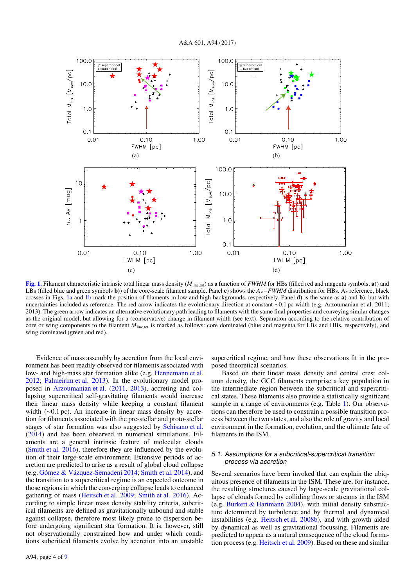<span id="page-3-3"></span><span id="page-3-2"></span>

<span id="page-3-1"></span><span id="page-3-0"></span>[Fig. 1.](http://dexter.edpsciences.org/applet.php?DOI=10.1051/0004-6361/201628552&pdf_id=1) Filament characteristic intrinsic total linear mass density ( $M<sub>line, tot</sub>$ ) as a function of *FWHM* for HBs (filled red and magenta symbols; a)) and LBs (filled blue and green symbols **b**)) of the core-scale filament sample. Panel c) shows the *A*<sub>V</sub>−*FWHM* distribution for HBs. As reference, black crosses in Figs. [1a](#page-3-2) and [1b](#page-3-3) mark the position of filaments in low and high backgrounds, respectively. Panel d) is the same as a) and b), but with uncertainties included as reference. The red arrow indicates the evolutionary direction at constant <sup>∼</sup>0.1 pc width (e.g. Arzoumanian et al. 2011; 2013). The green arrow indicates an alternative evolutionary path leading to filaments with the same final properties and conveying similar changes as the original model, but allowing for a (conservative) change in filament width (see text). Separation according to the relative contribution of core or wing components to the filament *M*<sub>line,tot</sub> is marked as follows: core dominated (blue and magenta for LBs and HBs, respectively), and wing dominated (green and red).

Evidence of mass assembly by accretion from the local environment has been readily observed for filaments associated with low- and high-mass star formation alike (e.g. [Hennemann et al.](#page-8-1) [2012;](#page-8-1) [Palmeirim et al.](#page-8-27) [2013\)](#page-8-27). In the evolutionary model proposed in [Arzoumanian et al.](#page-8-3) [\(2011,](#page-8-3) [2013\)](#page-8-28), accreting and collapsing supercritical self-gravitating filaments would increase their linear mass density while keeping a constant filament width (∼0.1 pc). An increase in linear mass density by accretion for filaments associated with the pre-stellar and proto-stellar stages of star formation was also suggested by [Schisano et al.](#page-8-5) [\(2014\)](#page-8-5) and has been observed in numerical simulations. Filaments are a general intrinsic feature of molecular clouds [\(Smith et al.](#page-8-29) [2016\)](#page-8-29), therefore they are influenced by the evolution of their large-scale environment. Extensive periods of accretion are predicted to arise as a result of global cloud collapse (e.g. [Gómez & Vázquez-Semadeni](#page-8-30) [2014;](#page-8-30) [Smith et al.](#page-8-31) [2014\)](#page-8-31), and the transition to a supercritical regime is an expected outcome in those regions in which the converging collapse leads to enhanced gathering of mass [\(Heitsch et al.](#page-8-32) [2009;](#page-8-32) [Smith et al.](#page-8-29) [2016\)](#page-8-29). According to simple linear mass density stability criteria, subcritical filaments are defined as gravitationally unbound and stable against collapse, therefore most likely prone to dispersion before undergoing significant star formation. It is, however, still not observationally constrained how and under which conditions subcritical filaments evolve by accretion into an unstable

supercritical regime, and how these observations fit in the proposed theoretical scenarios.

Based on their linear mass density and central crest column density, the GCC filaments comprise a key population in the intermediate region between the subcritical and supercritical states. These filaments also provide a statistically significant sample in a range of environments (e.g. Table [1\)](#page-2-2). Our observations can therefore be used to constrain a possible transition process between the two states, and also the role of gravity and local environment in the formation, evolution, and the ultimate fate of filaments in the ISM.

## 5.1. Assumptions for a subcritical-supercritical transition process via accretion

Several scenarios have been invoked that can explain the ubiquitous presence of filaments in the ISM. These are, for instance, the resulting structures caused by large-scale gravitational collapse of clouds formed by colliding flows or streams in the ISM (e.g. [Burkert & Hartmann](#page-8-33) [2004\)](#page-8-33), with initial density substructure determined by turbulence and by thermal and dynamical instabilities (e.g. [Heitsch et al.](#page-8-34) [2008b\)](#page-8-34), and with growth aided by dynamical as well as gravitational focussing. Filaments are predicted to appear as a natural consequence of the cloud formation process (e.g. [Heitsch et al.](#page-8-32) [2009\)](#page-8-32). Based on these and similar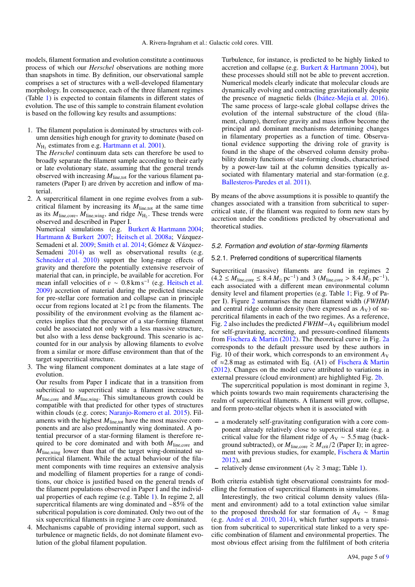models, filament formation and evolution constitute a continuous process of which our *Herschel* observations are nothing more than snapshots in time. By definition, our observational sample comprises a set of structures with a well-developed filamentary morphology. In consequence, each of the three filament regimes (Table [1\)](#page-2-2) is expected to contain filaments in different states of evolution. The use of this sample to constrain filament evolution is based on the following key results and assumptions:

1. The filament population is dominated by structures with column densities high enough for gravity to dominate (based on  $N_{\text{H}_2}$  estimates from e.g. [Hartmann et al.](#page-8-35) [2001\)](#page-8-35).

The *Herschel* continuum data sets can therefore be used to broadly separate the filament sample according to their early or late evolutionary state, assuming that the general trends observed with increasing  $M_{\text{line,tot}}$  for the various filament parameters (Paper I) are driven by accretion and inflow of material.

2. A supercritical filament in one regime evolves from a subcritical filament by increasing its  $M<sub>line,tot</sub>$  at the same time as its  $M_{\text{line,core}}$ ,  $M_{\text{line,wing}}$ , and ridge  $N_{\text{H}_2}$ . These trends were<br>observed and described in Paper I observed and described in Paper I.

Numerical simulations (e.g. [Burkert & Hartmann](#page-8-33) [2004;](#page-8-33) [Hartmann & Burkert](#page-8-36) [2007;](#page-8-36) [Heitsch et al.](#page-8-37) [2008a;](#page-8-37) Vázquez-Semadeni et al. [2009;](#page-8-38) [Smith et al.](#page-8-31) [2014;](#page-8-31) Gómez & Vázquez-Semadeni [2014\)](#page-8-30) as well as observational results (e.g. [Schneider et al.](#page-8-11) [2010\)](#page-8-11) support the long-range effects of gravity and therefore the potentially extensive reservoir of material that can, in principle, be available for accretion. For mean infall velocities of  $v \sim 0.8 \text{ km s}^{-1}$  (e.g. [Heitsch et al.](#page-8-32) 2009) accretion of material during the predicted timescale [2009\)](#page-8-32) accretion of material during the predicted timescale for pre-stellar core formation and collapse can in principle occur from regions located at <sup>&</sup>gt;∼1 pc from the filaments. The possibility of the environment evolving as the filament accretes implies that the precursor of a star-forming filament could be associated not only with a less massive structure, but also with a less dense background. This scenario is accounted for in our analysis by allowing filaments to evolve from a similar or more diffuse environment than that of the target supercritical structure.

3. The wing filament component dominates at a late stage of evolution.

Our results from Paper I indicate that in a transition from subcritical to supercritical state a filament increases its *<sup>M</sup>*line,core and *<sup>M</sup>*line,wing. This simultaneous growth could be compatible with that predicted for other types of structures within clouds (e.g. cores; [Naranjo-Romero et al.](#page-8-39) [2015\)](#page-8-39). Filaments with the highest  $M_{\text{line,tot}}$  have the most massive components and are also predominantly wing dominated. A potential precursor of a star-forming filament is therefore required to be core dominated and with both *<sup>M</sup>*line,core and *M*<sub>line,wing</sub> lower than that of the target wing-dominated supercritical filament. While the actual behaviour of the filament components with time requires an extensive analysis and modelling of filament properties for a range of conditions, our choice is justified based on the general trends of the filament populations observed in Paper I and the individual properties of each regime (e.g. Table [1\)](#page-2-2). In regime 2, all supercritical filaments are wing dominated and ∼85% of the subcritical population is core dominated. Only two out of the six supercritical filaments in regime 3 are core dominated.

4. Mechanisms capable of providing internal support, such as turbulence or magnetic fields, do not dominate filament evolution of the global filament population.

Turbulence, for instance, is predicted to be highly linked to accretion and collapse (e.g. [Burkert & Hartmann](#page-8-33) [2004\)](#page-8-33), but these processes should still not be able to prevent accretion. Numerical models clearly indicate that molecular clouds are dynamically evolving and contracting gravitationally despite the presence of magnetic fields [\(Ibáñez-Mejía et al.](#page-8-40) [2016\)](#page-8-40). The same process of large-scale global collapse drives the evolution of the internal substructure of the cloud (filament, clump), therefore gravity and mass inflow become the principal and dominant mechanisms determining changes in filamentary properties as a function of time. Observational evidence supporting the driving role of gravity is found in the shape of the observed column density probability density functions of star-forming clouds, characterised by a power-law tail at the column densities typically associated with filamentary material and star-formation (e.g. [Ballesteros-Paredes et al.](#page-8-41) [2011\)](#page-8-41).

By means of the above assumptions it is possible to quantify the changes associated with a transition from subcritical to supercritical state, if the filament was required to form new stars by accretion under the conditions predicted by observational and theoretical studies.

#### 5.2. Formation and evolution of star-forming filaments

#### 5.2.1. Preferred conditions of supercritical filaments

Supercritical (massive) filaments are found in regimes 2  $(4.2 \leq M_{\text{line,core}} \leq 8.4 \, M_{\odot} \,\text{pc}^{-1})$  and 3  $(M_{\text{line,core}} > 8.4 \, M_{\odot} \,\text{pc}^{-1})$ ,<br>each associated with a different mean environmental column each associated with a different mean environmental column density level and filament properties (e.g. Table [1;](#page-2-2) Fig. 9 of Paper I). Figure [2](#page-5-0) summarises the mean filament width (*FWHM*) and central ridge column density (here expressed as  $A_V$ ) of supercritical filaments in each of the two regimes. As a reference, Fig. [2](#page-5-0) also includes the predicted *FWHM*−*A*<sup>V</sup> equilibrium model for self-gravitating, accreting, and pressure-confined filaments from [Fischera & Martin](#page-8-42) [\(2012\)](#page-8-42). The theoretical curve in Fig.  $2a$ corresponds to the default pressure used by these authors in Fig. 10 of their work, which corresponds to an environment  $A_V$ of ≈2.8 mag as estimated with Eq. (A1) of [Fischera & Martin](#page-8-42) [\(2012\)](#page-8-42). Changes on the model curve attributed to variations in external pressure (cloud environment) are highlighted Fig. [2b.](#page-5-2)

The supercritical population is most dominant in regime 3, which points towards two main requirements characterising the realm of supercritical filaments. A filament will grow, collapse, and form proto-stellar objects when it is associated with

- a moderately self-gravitating configuration with a core component already relatively close to supercritical state (e.g. a critical value for the filament ridge of  $A_V \sim 5.5$  mag (background subtracted), or  $M_{line,core} \geq M_{crit}/2$  (Paper I); in agreement with previous studies, for example, [Fischera & Martin](#page-8-42) [2012\)](#page-8-42), and
- $-$  relatively dense environment ( $A_V \gtrsim 3$  mag; Table [1\)](#page-2-2).

Both criteria establish tight observational constraints for modelling the formation of supercritical filaments in simulations.

Interestingly, the two critical column density values (filament and environment) add to a total extinction value similar to the proposed threshold for star formation of  $A_V \sim 8 \text{ mag}$ (e.g. [André et al.](#page-8-9) [2010,](#page-8-9) [2014\)](#page-8-43), which further supports a transition from subcritical to supercritical state linked to a very specific combination of filament and environmental properties. The most obvious effect arising from the fulfilment of both criteria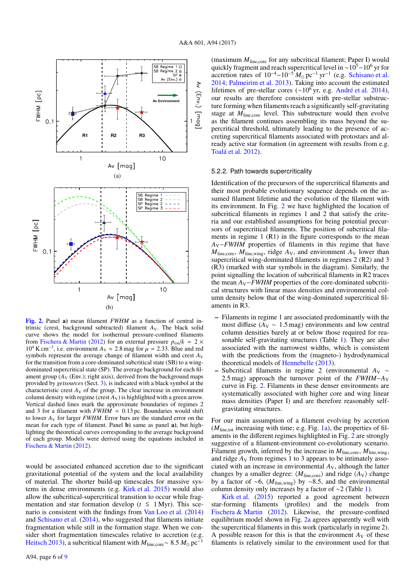<span id="page-5-1"></span>

<span id="page-5-2"></span><span id="page-5-0"></span>[Fig. 2.](http://dexter.edpsciences.org/applet.php?DOI=10.1051/0004-6361/201628552&pdf_id=2) Panel a) mean filament *FWHM* as a function of central intrinsic (crest, background subtracted) filament  $A_V$ . The black solid curve shows the model for isothermal pressure-confined filaments from [Fischera & Martin](#page-8-42) [\(2012\)](#page-8-42) for an external pressure  $p_{ext}/k = 2 \times$ 10<sup>4</sup> K cm<sup>-3</sup>, i.e. environment  $A_V \approx 2.8$  mag for  $\mu = 2.33$ . Blue and red symbols represent the average change of filament width and crest  $A_V$ symbols represent the average change of filament width and crest  $A_V$ for the transition from a core-dominated subcritical state (SB) to a wingdominated supercritical state (SP). The average background for each filament group  $(A_V$  (Env.); right axis), derived from the background maps provided by *getsources* (Sect. [3\)](#page-1-1), is indicated with a black symbol at the characteristic crest  $A_V$  of the group. The clear increase in environment column density with regime (crest  $A_V$ ) is highlighted with a green arrow. Vertical dashed lines mark the approximate boundaries of regimes 2 and 3 for a filament with  $FWHM \approx 0.13$  pc. Boundaries would shift to lower *A*<sup>V</sup> for larger *FWHM*. Error bars are the standard error on the mean for each type of filament. Panel **b**) same as panel **a**), but highlighting the theoretical curves corresponding to the average background of each group. Models were derived using the equations included in [Fischera & Martin](#page-8-42) [\(2012\)](#page-8-42).

would be associated enhanced accretion due to the significant gravitational potential of the system and the local availability of material. The shorter build-up timescales for massive systems in dense environments (e.g. [Kirk et al.](#page-8-44) [2015\)](#page-8-44) would also allow the subcritical-supercritical transition to occur while fragmentation and star formation develop ( $t \leq 1$  Myr). This scenario is consistent with the findings from [Van Loo et al.](#page-8-45) [\(2014\)](#page-8-45) and [Schisano et al.](#page-8-5) [\(2014\)](#page-8-5), who suggested that filaments initiate fragmentation while still in the formation stage. When we consider short fragmentation timescales relative to accretion (e.g. [Heitsch](#page-8-25) [2013\)](#page-8-25), a subcritical filament with  $M_{line,core} \sim 8.5 M_{\odot}$  pc<sup>-1</sup>

(maximum  $M_{\text{line.core}}$  for any subcritical filament; Paper I) would quickly fragment and reach supercritical level in ~10<sup>5</sup> $-10^6$  yr for accretion rates of  $10^{-4} - 10^{-5} M_{\odot}$  pc<sup>-1</sup> yr<sup>-1</sup> (e.g. [Schisano et al.](#page-8-5) [2014;](#page-8-5) [Palmeirim et al.](#page-8-27) [2013\)](#page-8-27). Taking into account the estimated lifetimes of pre-stellar cores (∼10<sup>6</sup> yr, e.g. [André et al.](#page-8-43) [2014\)](#page-8-43), our results are therefore consistent with pre-stellar substructure forming when filaments reach a significantly self-gravitating stage at *M*<sub>line,core</sub> level. This substructure would then evolve as the filament continues assembling its mass beyond the supercritical threshold, ultimately leading to the presence of accreting supercritical filaments associated with protostars and already active star formation (in agreement with results from e.g. [Toalá et al.](#page-8-46) [2012\)](#page-8-46).

### 5.2.2. Path towards supercriticality

Identification of the precursors of the supercritical filaments and their most probable evolutionary sequence depends on the assumed filament lifetime and the evolution of the filament with its environment. In Fig. [2](#page-5-0) we have highlighted the location of subcritical filaments in regimes 1 and 2 that satisfy the criteria and our established assumptions for being potential precursors of supercritical filaments. The position of subcritical filaments in regime  $1(R1)$  in the figure corresponds to the mean *A*<sub>V</sub>−*FWHM* properties of filaments in this regime that have  $M_{\text{line,core}}$ ,  $M_{\text{line,wing}}$ , ridge  $A_V$ , and environment  $A_V$  lower than supercritical wing-dominated filaments in regimes 2 (R2) and 3 (R3) (marked with star symbols in the diagram). Similarly, the point signalling the location of subcritical filaments in R2 traces the mean *A*<sub>V</sub>−*FWHM* properties of the core-dominated subcritical structures with linear mass densities and environmental column density below that of the wing-dominated supercritical filaments in R3.

- Filaments in regime 1 are associated predominantly with the most diffuse ( $A_V \sim 1.5$  mag) environments and low central column densities barely at or below those required for reasonable self-gravitating structures (Table [1\)](#page-2-2). They are also associated with the narrowest widths, which is consistent with the predictions from the (magneto-) hydrodynamical theoretical models of [Hennebelle](#page-8-47) [\(2013\)](#page-8-47).
- Subcritical filaments in regime 2 (environmental  $A_V \sim$ <sup>2</sup>.5 mag) approach the turnover point of the *FWHM*−*A*<sup>V</sup> curve in Fig. [2.](#page-5-0) Filaments in these denser environments are systematically associated with higher core and wing linear mass densities (Paper I) and are therefore reasonably selfgravitating structures.

For our main assumption of a filament evolving by accretion  $(M<sub>line,tot</sub>$  increasing with time; e.g. Fig. [1a\)](#page-3-2), the properties of filaments in the different regimes highlighted in Fig. [2](#page-5-0) are strongly suggestive of a filament-environment co-evolutionary scenario. Filament growth, inferred by the increase in  $M_{\text{line,core}}$ ,  $M_{\text{line,wing}}$ , and ridge  $A_V$  from regimes 1 to 3 appears to be intimately associated with an increase in environmental  $A_V$ , although the latter changes by a smaller degree:  $\langle M_{line,core} \rangle$  and ridge  $\langle A_V \rangle$  change by a factor of ∼6,  $\langle M_{\text{line,wing}} \rangle$  by ∼8.5, and the environmental column density only increases by a factor of ∼2 (Table [1\)](#page-2-2).

[Kirk et al.](#page-8-44) [\(2015\)](#page-8-44) reported a good agreement between star-forming filaments (profiles) and the models from [Fischera & Martin](#page-8-42) [\(2012\)](#page-8-42). Likewise, the pressure-confined equilibrium model shown in Fig. [2a](#page-5-1) agrees apparently well with the supercritical filaments in this work (particularly in regime 2). A possible reason for this is that the environment  $A_V$  of these filaments is relatively similar to the environment used for that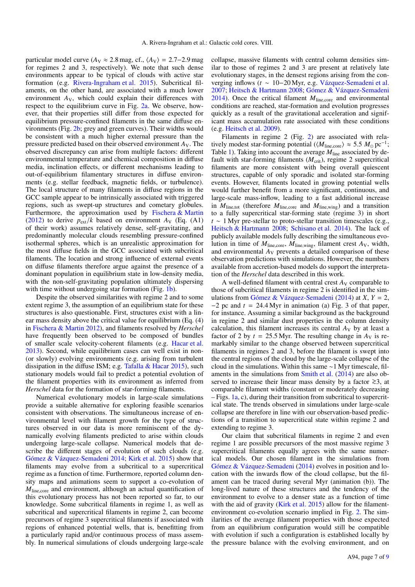particular model curve ( $A_V \approx 2.8$  mag, cf.,  $\langle A_V \rangle = 2.7 - 2.9$  mag for regimes 2 and 3, respectively). We note that such dense environments appear to be typical of clouds with active star formation (e.g. [Rivera-Ingraham et al.](#page-8-48) [2015\)](#page-8-48). Subcritical filaments, on the other hand, are associated with a much lower environment  $A_V$ , which could explain their differences with respect to the equilibrium curve in Fig. [2a.](#page-5-1) We observe, however, that their properties still differ from those expected for equilibrium pressure-confined filaments in the same diffuse environments (Fig. [2b;](#page-5-2) grey and green curves). Their widths would be consistent with a much higher external pressure than the pressure predicted based on their observed environment *A*V. The observed discrepancy can arise from multiple factors: different environmental temperature and chemical composition in diffuse media, inclination effects, or different mechanisms leading to out-of-equilibrium filamentary structures in diffuse environments (e.g. stellar feedback, magnetic fields, or turbulence). The local structure of many filaments in diffuse regions in the GCC sample appear to be intrinsically associated with triggered regions, such as swept-up structures and cometary globules. Furthermore, the approximation used by [Fischera & Martin](#page-8-42) [\(2012\)](#page-8-42) to derive  $p_{ext}/k$  based on environment  $A_V$  (Eq. (A1) of their work) assumes relatively dense, self-gravitating, and predominantly molecular clouds resembling pressure-confined isothermal spheres, which is an unrealistic approximation for the most diffuse fields in the GCC associated with subcritical filaments. The location and strong influence of external events on diffuse filaments therefore argue against the presence of a dominant population in equilibrium state in low-density media, with the non-self-gravitating population ultimately dispersing with time without undergoing star formation (Fig. [1b\)](#page-3-3).

Despite the observed similarities with regime 2 and to some extent regime 3, the assumption of an equilibrium state for these structures is also questionable. First, structures exist with a linear mass density above the critical value for equilibrium (Eq. (4) in [Fischera & Martin](#page-8-42) [2012\)](#page-8-42), and filaments resolved by *Herschel* have frequently been observed to be composed of bundles of smaller scale velocity-coherent filaments (e.g. [Hacar et al.](#page-8-0) [2013\)](#page-8-0). Second, while equilibrium cases can well exist in non- (or slowly) evolving environments (e.g. arising from turbulent dissipation in the diffuse ISM; e.g. [Tafalla & Hacar](#page-8-49) [2015\)](#page-8-49), such stationary models would fail to predict a potential evolution of the filament properties with its environment as inferred from *Herschel* data for the formation of star-forming filaments.

Numerical evolutionary models in large-scale simulations provide a suitable alternative for exploring feasible scenarios consistent with observations. The simultaneous increase of environmental level with filament growth for the type of structures observed in our data is more reminiscent of the dynamically evolving filaments predicted to arise within clouds undergoing large-scale collapse. Numerical models that describe the different stages of evolution of such clouds (e.g. [Gómez & Vázquez-Semadeni](#page-8-30) [2014;](#page-8-30) [Kirk et al.](#page-8-44) [2015\)](#page-8-44) show that filaments may evolve from a subcritical to a supercritical regime as a function of time. Furthermore, reported column density maps and animations seem to support a co-evolution of *<sup>M</sup>*line,core and environment, although an actual quantification of this evolutionary process has not been reported so far, to our knowledge. Some subcritical filaments in regime 1, as well as subcritical and supercritical filaments in regime 2, can become precursors of regime 3 supercritical filaments if associated with regions of enhanced potential wells, that is, benefitting from a particularly rapid and/or continuous process of mass assembly. In numerical simulations of clouds undergoing large-scale

collapse, massive filaments with central column densities similar to those of regimes 2 and 3 are present at relatively late evolutionary stages, in the densest regions arising from the converging inflows (*t* ∼ 10−20 Myr, e.g. [Vázquez-Semadeni et al.](#page-8-50) [2007;](#page-8-50) [Heitsch & Hartmann](#page-8-51) [2008;](#page-8-51) [Gómez & Vázquez-Semadeni](#page-8-30) [2014\)](#page-8-30). Once the critical filament  $M_{line,core}$  and environmental conditions are reached, star-formation and evolution progresses quickly as a result of the gravitational acceleration and significant mass accumulation rate associated with these conditions (e.g. [Heitsch et al.](#page-8-32) [2009\)](#page-8-32).

Filaments in regime 2 (Fig. [2\)](#page-5-0) are associated with relatively modest star-forming potential ( $\langle M_{\text{line,core}} \rangle \approx 5.5 M_{\odot} \text{ pc}^{-1}$ ;<br>Table 1). Taking into account the average  $M_{\text{line}}$  associated by de-Table [1\)](#page-2-2). Taking into account the average *M*line associated by default with star-forming filaments ( $M_{\text{crit}}$ ), regime 2 supercritical filaments are more consistent with being overall quiescent structures, capable of only sporadic and isolated star-forming events. However, filaments located in growing potential wells would further benefit from a more significant, continuous, and large-scale mass-inflow, leading to a fast additional increase in  $M_{\text{line,tot}}$  (therefore  $M_{\text{line,core}}$  and  $M_{\text{line,wing}}$ ) and a transition to a fully supercritical star-forming state (regime 3) in short *t* ∼ 1 Myr pre-stellar to proto-stellar transition timescales (e.g., [Heitsch & Hartmann](#page-8-51) [2008;](#page-8-51) [Schisano et al.](#page-8-5) [2014\)](#page-8-5). The lack of publicly available models fully describing the simultaneous evolution in time of  $M_{line,core}$ ,  $M_{line,wing}$ , filament crest  $A_V$ , width, and environmental *A*<sup>V</sup> prevents a detailed comparison of these observation predictions with simulations. However, the numbers available from accretion-based models do support the interpretation of the *Herschel* data described in this work.

A well-defined filament with central crest  $A_V$  comparable to those of subcritical filaments in regime 2 is identified in the simulations from [Gómez & Vázquez-Semadeni](#page-8-30) [\(2014\)](#page-8-30) at *X*, *Y* = 2,  $-2$  pc and  $t = 24.4$  Myr in animation (a) Fig. 3 of that paper, for instance. Assuming a similar background as the background in regime 2 and similar dust properties in the column density calculation, this filament increases its central  $A_V$  by at least a factor of 2 by  $t = 25.5$  Myr. The resulting change in  $A_V$  is remarkably similar to the change observed between supercritical filaments in regimes 2 and 3, before the filament is swept into the central regions of the cloud by the large-scale collapse of the cloud in the simulations. Within this same ∼1 Myr timescale, filaments in the simulations from [Smith et al.](#page-8-31) [\(2014\)](#page-8-31) are also observed to increase their linear mass density by a factor  $\geq 3$ , at comparable filament widths (constant or moderately decreasing  $-$  Figs. [1a,](#page-3-2) c), during their transition from subcritical to supercritical state. The trends observed in simulations under large-scale collapse are therefore in line with our observation-based predictions of a transition to supercritical state within regime 2 and extending to regime 3.

Our claim that subcritical filaments in regime 2 and even regime 1 are possible precursors of the most massive regime 3 supercritical filaments equally agrees with the same numerical models. Our chosen filament in the simulations from [Gómez & Vázquez-Semadeni](#page-8-30) [\(2014\)](#page-8-30) evolves in position and location with the inwards flow of the cloud collapse, but the filament can be traced during several Myr (animation (b)). The long-lived nature of these structures and the tendency of the environment to evolve to a denser state as a function of time with the aid of gravity [\(Kirk et al.](#page-8-44) [2015\)](#page-8-44) allow for the filamentenvironment co-evolution scenario implied in Fig. [2.](#page-5-0) The similarities of the average filament properties with those expected from an equilibrium configuration would still be compatible with evolution if such a configuration is established locally by the pressure balance with the evolving environment, and on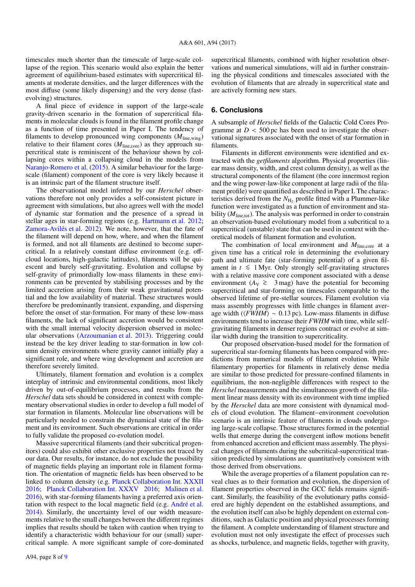timescales much shorter than the timescale of large-scale collapse of the region. This scenario would also explain the better agreement of equilibrium-based estimates with supercritical filaments at moderate densities, and the larger differences with the most diffuse (some likely dispersing) and the very dense (fastevolving) structures.

A final piece of evidence in support of the large-scale gravity-driven scenario in the formation of supercritical filaments in molecular clouds is found in the filament profile change as a function of time presented in Paper I. The tendency of filaments to develop pronounced wing components (*M*line,wing) relative to their filament cores  $(M<sub>line.core</sub>)$  as they approach supercritical state is reminiscent of the behaviour shown by collapsing cores within a collapsing cloud in the models from [Naranjo-Romero et al.](#page-8-39) [\(2015\)](#page-8-39). A similar behaviour for the largescale (filament) component of the core is very likely because it is an intrinsic part of the filament structure itself.

The observational model inferred by our *Herschel* observations therefore not only provides a self-consistent picture in agreement with simulations, but also agrees well with the model of dynamic star formation and the presence of a spread in stellar ages in star-forming regions (e.g. [Hartmann et al.](#page-8-52) [2012;](#page-8-52) [Zamora-Avilés et al.](#page-8-53) [2012\)](#page-8-53). We note, however, that the fate of the filament will depend on how, where, and when the filament is formed, and not all filaments are destined to become supercritical. In a relatively constant diffuse environment (e.g. offcloud locations, high-galactic latitudes), filaments will be quiescent and barely self-gravitating. Evolution and collapse by self-gravity of primordially low-mass filaments in these environments can be prevented by stabilising processes and by the limited accretion arising from their weak gravitational potential and the low availability of material. These structures would therefore be predominantly transient, expanding, and dispersing before the onset of star-formation. For many of these low-mass filaments, the lack of significant accretion would be consistent with the small internal velocity dispersion observed in molecular observations [\(Arzoumanian et al.](#page-8-28) [2013\)](#page-8-28). Triggering could instead be the key driver leading to star-formation in low column density environments where gravity cannot initially play a significant role, and where wing development and accretion are therefore severely limited.

Ultimately, filament formation and evolution is a complex interplay of intrinsic and environmental conditions, most likely driven by out-of-equilibrium processes, and results from the *Herschel* data sets should be considered in context with complementary observational studies in order to develop a full model of star formation in filaments. Molecular line observations will be particularly needed to constrain the dynamical state of the filament and its environment. Such observations are critical in order to fully validate the proposed co-evolution model.

Massive supercritical filaments (and their subcritical progenitors) could also exhibit other exclusive properties not traced by our data. Our results, for instance, do not exclude the possibility of magnetic fields playing an important role in filament formation. The orientation of magnetic fields has been observed to be linked to column density (e.g. [Planck Collaboration Int. XXXII](#page-8-54) [2016;](#page-8-54) [Planck Collaboration Int. XXXV](#page-8-55) [2016;](#page-8-55) [Malinen et al.](#page-8-56) [2016\)](#page-8-56), with star-forming filaments having a preferred axis orientation with respect to the local magnetic field (e.g. [André et al.](#page-8-43) [2014\)](#page-8-43). Similarly, the uncertainty level of our width measurements relative to the small changes between the different regimes implies that results should be taken with caution when trying to identify a characteristic width behaviour for our (small) supercritical sample. A more significant sample of core-dominated

supercritical filaments, combined with higher resolution observations and numerical simulations, will aid in further constraining the physical conditions and timescales associated with the evolution of filaments that are already in supercritical state and are actively forming new stars.

## <span id="page-7-0"></span>**6. Conclusions**

A subsample of *Herschel* fields of the Galactic Cold Cores Programme at  $D < 500$  pc has been used to investigate the observational signatures associated with the onset of star formation in filaments.

Filaments in different environments were identified and extracted with the *getfilaments* algorithm. Physical properties (linear mass density, width, and crest column density), as well as the structural components of the filament (the core innermost region and the wing power-law-like component at large radii of the filament profile) were quantified as described in Paper I. The characteristics derived from the  $N_{\rm H_2}$  profile fitted with a Plummer-like function were investigated as a function of environment and stability  $(M<sub>line, tot</sub>)$ . The analysis was performed in order to constrain an observation-based evolutionary model from a subcritical to a supercritical (unstable) state that can be used in context with theoretical models of filament formation and evolution.

The combination of local environment and *M*<sub>line,core</sub> at a given time has a critical role in determining the evolutionary path and ultimate fate (star-forming potential) of a given filament in  $t$  ≤ 1 Myr. Only strongly self-gravitating structures with a relative massive core component associated with a dense environment ( $A_V \geq 3$  mag) have the potential for becoming<br>supercritical and star forming on timescales comparable to the supercritical and star-forming on timescales comparable to the observed lifetime of pre-stellar sources. Filament evolution via mass assembly progresses with little changes in filament average width ( $\langle FWHM \rangle \sim 0.13$  pc). Low-mass filaments in diffuse environments tend to increase their *FWHM* with time, while selfgravitating filaments in denser regions contract or evolve at similar width during the transition to supercriticality.

Our proposed observation-based model for the formation of supercritical star-forming filaments has been compared with predictions from numerical models of filament evolution. While filamentary properties for filaments in relatively dense media are similar to those predicted for pressure-confined filaments in equilibrium, the non-negligible differences with respect to the *Herschel* measurements and the simultaneous growth of the filament linear mass density with its environment with time implied by the *Herschel* data are more consistent with dynamical models of cloud evolution. The filament−environment coevolution scenario is an intrinsic feature of filaments in clouds undergoing large-scale collapse. Those structures formed in the potential wells that emerge during the convergent inflow motions benefit from enhanced accretion and efficient mass assembly. The physical changes of filaments during the subcritical-supercritical transition predicted by simulations are quantitatively consistent with those derived from observations.

While the average properties of a filament population can reveal clues as to their formation and evolution, the dispersion of filament properties observed in the GCC fields remains significant. Similarly, the feasibility of the evolutionary paths considered are highly dependent on the established assumptions, and the evolution itself can also be highly dependent on external conditions, such as Galactic position and physical processes forming the filament. A complete understanding of filament structure and evolution must not only investigate the effect of processes such as shocks, turbulence, and magnetic fields, together with gravity,